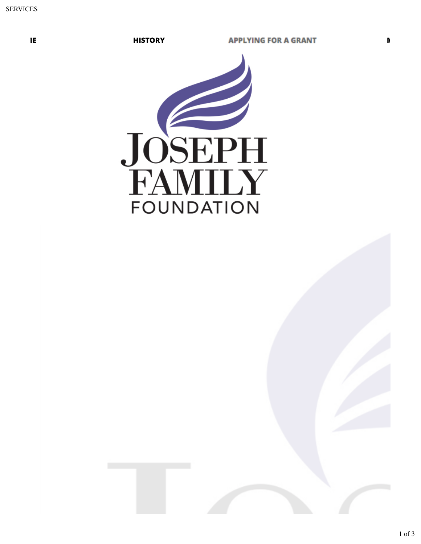

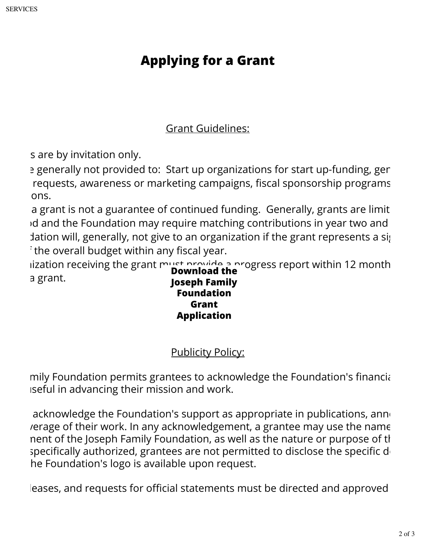## **Applying for a Grant**

## Grant Guidelines:

s are by invitation only.

a generally not provided to: Start up organizations for start up-funding, general requests, awareness or marketing campaigns, fiscal sponsorship programs ons.

a grant is not a guarantee of continued funding. Generally, grants are limit id and the Foundation may require matching contributions in year two and dation will, generally, not give to an organization if the grant represents a significant  $\cdot$  the overall budget within any fiscal year.

iization receiving the grant must provide a progress report within 12 month a grant. **Download the Joseph Family**

**Foundation Grant Application**

Publicity Policy:

mily Foundation permits grantees to acknowledge the Foundation's financial iseful in advancing their mission and work.

acknowledge the Foundation's support as appropriate in publications, anno rerage of their work. In any acknowledgement, a grantee may use the name nent of the Joseph Family Foundation, as well as the nature or purpose of the specifically authorized, grantees are not permitted to disclose the specific do he Foundation's logo is available upon request.

leases, and requests for official statements must be directed and approved